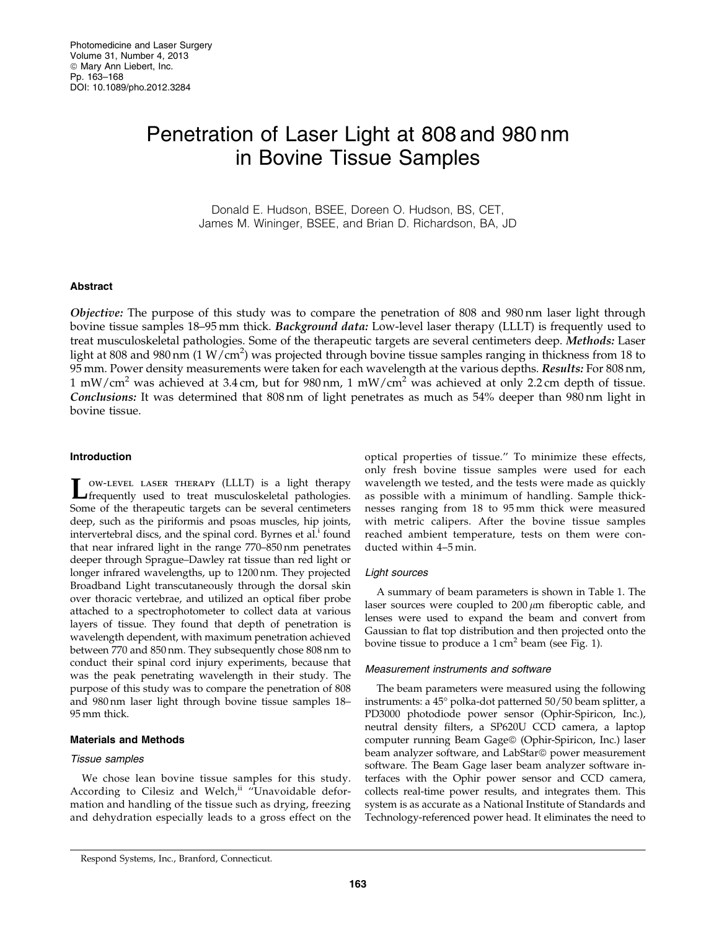# Penetration of Laser Light at 808 and 980 nm in Bovine Tissue Samples

Donald E. Hudson, BSEE, Doreen O. Hudson, BS, CET, James M. Wininger, BSEE, and Brian D. Richardson, BA, JD

## Abstract

Objective: The purpose of this study was to compare the penetration of 808 and 980 nm laser light through bovine tissue samples 18–95 mm thick. *Background data:* Low-level laser therapy (LLLT) is frequently used to treat musculoskeletal pathologies. Some of the therapeutic targets are several centimeters deep. Methods: Laser light at 808 and 980 nm (1 W/cm<sup>2</sup>) was projected through bovine tissue samples ranging in thickness from 18 to 95 mm. Power density measurements were taken for each wavelength at the various depths. Results: For 808 nm, 1 mW/cm<sup>2</sup> was achieved at 3.4 cm, but for 980 nm, 1 mW/cm<sup>2</sup> was achieved at only 2.2 cm depth of tissue. Conclusions: It was determined that 808 nm of light penetrates as much as 54% deeper than 980 nm light in bovine tissue.

## Introduction

Low-level laser therapy (LLLT) is a light therapy frequently used to treat musculoskeletal pathologies. Some of the therapeutic targets can be several centimeters deep, such as the piriformis and psoas muscles, hip joints, intervertebral discs, and the spinal cord. Byrnes et al.<sup>1</sup> found that near infrared light in the range 770–850 nm penetrates deeper through Sprague–Dawley rat tissue than red light or longer infrared wavelengths, up to 1200 nm. They projected Broadband Light transcutaneously through the dorsal skin over thoracic vertebrae, and utilized an optical fiber probe attached to a spectrophotometer to collect data at various layers of tissue. They found that depth of penetration is wavelength dependent, with maximum penetration achieved between 770 and 850 nm. They subsequently chose 808 nm to conduct their spinal cord injury experiments, because that was the peak penetrating wavelength in their study. The purpose of this study was to compare the penetration of 808 and 980 nm laser light through bovine tissue samples 18– 95 mm thick.

## Materials and Methods

#### Tissue samples

We chose lean bovine tissue samples for this study. According to Cilesiz and Welch,<sup>ii</sup> "Unavoidable deformation and handling of the tissue such as drying, freezing and dehydration especially leads to a gross effect on the optical properties of tissue.'' To minimize these effects, only fresh bovine tissue samples were used for each wavelength we tested, and the tests were made as quickly as possible with a minimum of handling. Sample thicknesses ranging from 18 to 95 mm thick were measured with metric calipers. After the bovine tissue samples reached ambient temperature, tests on them were conducted within 4–5 min.

#### Light sources

A summary of beam parameters is shown in Table 1. The laser sources were coupled to  $200 \mu m$  fiberoptic cable, and lenses were used to expand the beam and convert from Gaussian to flat top distribution and then projected onto the bovine tissue to produce a  $1 \text{ cm}^2$  beam (see Fig. 1).

## Measurement instruments and software

The beam parameters were measured using the following instruments: a  $45^{\circ}$  polka-dot patterned  $50/50$  beam splitter, a PD3000 photodiode power sensor (Ophir-Spiricon, Inc.), neutral density filters, a SP620U CCD camera, a laptop computer running Beam Gage<sup>©</sup> (Ophir-Spiricon, Inc.) laser beam analyzer software, and LabStar© power measurement software. The Beam Gage laser beam analyzer software interfaces with the Ophir power sensor and CCD camera, collects real-time power results, and integrates them. This system is as accurate as a National Institute of Standards and Technology-referenced power head. It eliminates the need to

Respond Systems, Inc., Branford, Connecticut.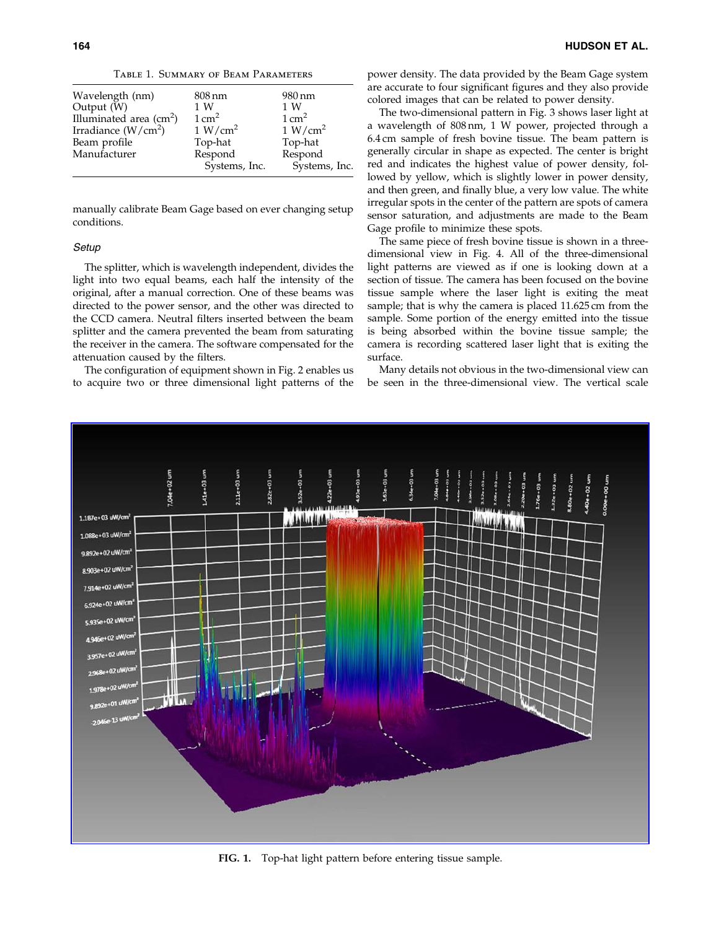|  | TABLE 1. SUMMARY OF BEAM PARAMETERS |
|--|-------------------------------------|
|--|-------------------------------------|

| Wavelength (nm)          | 808 nm              | 980 nm              |
|--------------------------|---------------------|---------------------|
| Output (W)               | 1 W                 | 1 W                 |
| Illuminated area $(cm2)$ | $1 \text{ cm}^2$    | $1 \text{ cm}^2$    |
| Irradiance $(W/cm2)$     | 1 W/cm <sup>2</sup> | 1 W/cm <sup>2</sup> |
| Beam profile             | Top-hat             | Top-hat             |
| Manufacturer             | Respond             | Respond             |
|                          | Systems, Inc.       | Systems, Inc.       |

manually calibrate Beam Gage based on ever changing setup conditions.

#### Setup

The splitter, which is wavelength independent, divides the light into two equal beams, each half the intensity of the original, after a manual correction. One of these beams was directed to the power sensor, and the other was directed to the CCD camera. Neutral filters inserted between the beam splitter and the camera prevented the beam from saturating the receiver in the camera. The software compensated for the attenuation caused by the filters.

The configuration of equipment shown in Fig. 2 enables us to acquire two or three dimensional light patterns of the power density. The data provided by the Beam Gage system are accurate to four significant figures and they also provide colored images that can be related to power density.

The two-dimensional pattern in Fig. 3 shows laser light at a wavelength of 808 nm, 1 W power, projected through a 6.4 cm sample of fresh bovine tissue. The beam pattern is generally circular in shape as expected. The center is bright red and indicates the highest value of power density, followed by yellow, which is slightly lower in power density, and then green, and finally blue, a very low value. The white irregular spots in the center of the pattern are spots of camera sensor saturation, and adjustments are made to the Beam Gage profile to minimize these spots.

The same piece of fresh bovine tissue is shown in a threedimensional view in Fig. 4. All of the three-dimensional light patterns are viewed as if one is looking down at a section of tissue. The camera has been focused on the bovine tissue sample where the laser light is exiting the meat sample; that is why the camera is placed 11.625 cm from the sample. Some portion of the energy emitted into the tissue is being absorbed within the bovine tissue sample; the camera is recording scattered laser light that is exiting the surface.

Many details not obvious in the two-dimensional view can be seen in the three-dimensional view. The vertical scale



FIG. 1. Top-hat light pattern before entering tissue sample.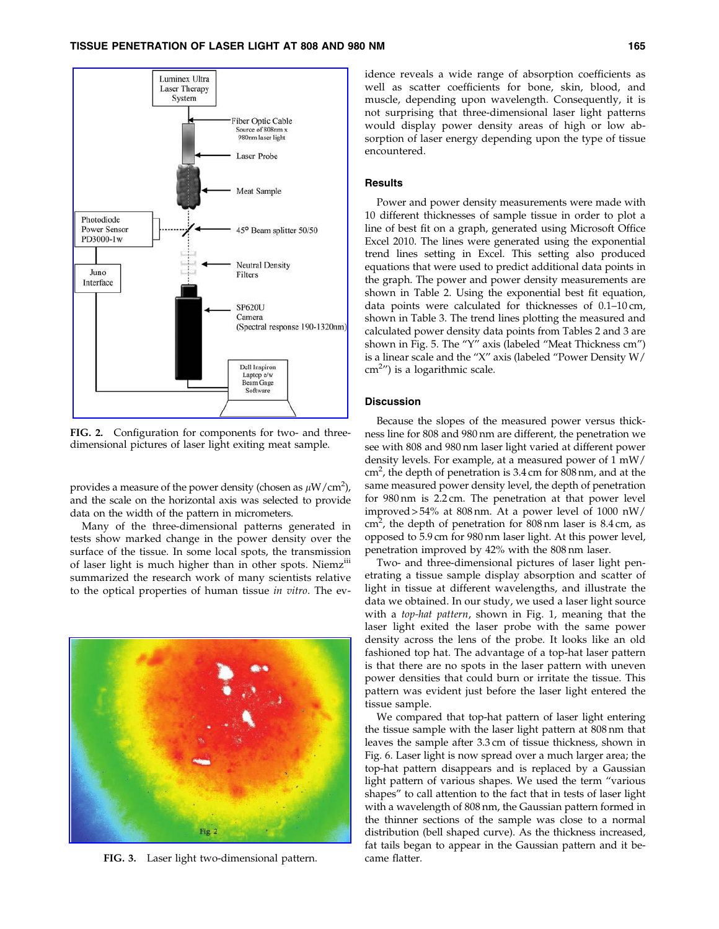

FIG. 2. Configuration for components for two- and threedimensional pictures of laser light exiting meat sample.

provides a measure of the power density (chosen as  $\mu$ W/cm<sup>2</sup>), and the scale on the horizontal axis was selected to provide data on the width of the pattern in micrometers.

Many of the three-dimensional patterns generated in tests show marked change in the power density over the surface of the tissue. In some local spots, the transmission of laser light is much higher than in other spots. Niemz<sup>111</sup> summarized the research work of many scientists relative to the optical properties of human tissue in vitro. The ev-



FIG. 3. Laser light two-dimensional pattern.

idence reveals a wide range of absorption coefficients as well as scatter coefficients for bone, skin, blood, and muscle, depending upon wavelength. Consequently, it is not surprising that three-dimensional laser light patterns would display power density areas of high or low absorption of laser energy depending upon the type of tissue encountered.

## **Results**

Power and power density measurements were made with 10 different thicknesses of sample tissue in order to plot a line of best fit on a graph, generated using Microsoft Office Excel 2010. The lines were generated using the exponential trend lines setting in Excel. This setting also produced equations that were used to predict additional data points in the graph. The power and power density measurements are shown in Table 2. Using the exponential best fit equation, data points were calculated for thicknesses of 0.1–10 cm, shown in Table 3. The trend lines plotting the measured and calculated power density data points from Tables 2 and 3 are shown in Fig. 5. The ''Y'' axis (labeled ''Meat Thickness cm'') is a linear scale and the ''X'' axis (labeled ''Power Density W/ cm<sup>2</sup>") is a logarithmic scale.

## Discussion

Because the slopes of the measured power versus thickness line for 808 and 980 nm are different, the penetration we see with 808 and 980 nm laser light varied at different power density levels. For example, at a measured power of 1 mW/ cm<sup>2</sup>, the depth of penetration is 3.4 cm for 808 nm, and at the same measured power density level, the depth of penetration for 980 nm is 2.2 cm. The penetration at that power level improved > 54% at 808 nm. At a power level of 1000 nW/ cm<sup>2</sup>, the depth of penetration for 808 nm laser is 8.4 cm, as opposed to 5.9 cm for 980 nm laser light. At this power level, penetration improved by 42% with the 808 nm laser.

Two- and three-dimensional pictures of laser light penetrating a tissue sample display absorption and scatter of light in tissue at different wavelengths, and illustrate the data we obtained. In our study, we used a laser light source with a top-hat pattern, shown in Fig. 1, meaning that the laser light exited the laser probe with the same power density across the lens of the probe. It looks like an old fashioned top hat. The advantage of a top-hat laser pattern is that there are no spots in the laser pattern with uneven power densities that could burn or irritate the tissue. This pattern was evident just before the laser light entered the tissue sample.

We compared that top-hat pattern of laser light entering the tissue sample with the laser light pattern at 808 nm that leaves the sample after 3.3 cm of tissue thickness, shown in Fig. 6. Laser light is now spread over a much larger area; the top-hat pattern disappears and is replaced by a Gaussian light pattern of various shapes. We used the term ''various shapes'' to call attention to the fact that in tests of laser light with a wavelength of 808 nm, the Gaussian pattern formed in the thinner sections of the sample was close to a normal distribution (bell shaped curve). As the thickness increased, fat tails began to appear in the Gaussian pattern and it became flatter.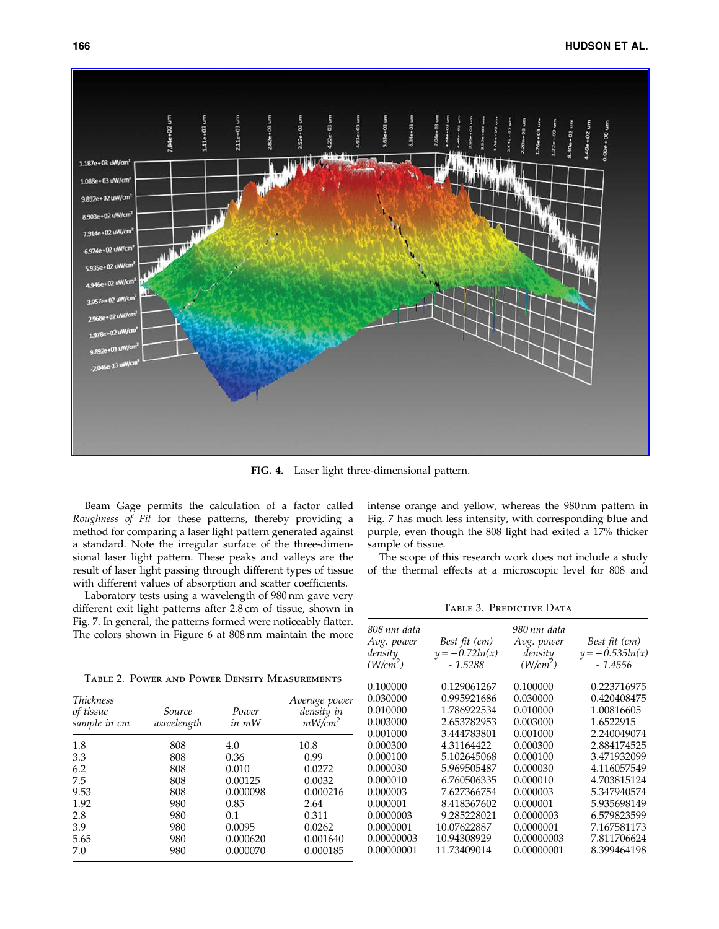

FIG. 4. Laser light three-dimensional pattern.

Beam Gage permits the calculation of a factor called Roughness of Fit for these patterns, thereby providing a method for comparing a laser light pattern generated against a standard. Note the irregular surface of the three-dimensional laser light pattern. These peaks and valleys are the result of laser light passing through different types of tissue with different values of absorption and scatter coefficients.

Laboratory tests using a wavelength of 980 nm gave very different exit light patterns after 2.8 cm of tissue, shown in Fig. 7. In general, the patterns formed were noticeably flatter. The colors shown in Figure 6 at 808 nm maintain the more

Table 2. Power and Power Density Measurements

Power in mW

0.000098

Average power density in  $mW/cm<sup>2</sup>$ 

Source wavelength

7.0 980 0.000070

1.8 808 4.0 10.8 3.3 808 0.36 0.99 6.2 808 0.010 0.0272 7.5 808 0.00125 0.0032

1.92 980 0.85 2.64 2.8 980 0.1 0.311 3.9 980 0.0095 0.0262 5.65 980 0.000620 0.001640

Thickness of tissue sample in cm intense orange and yellow, whereas the 980 nm pattern in Fig. 7 has much less intensity, with corresponding blue and purple, even though the 808 light had exited a 17% thicker sample of tissue.

The scope of this research work does not include a study of the thermal effects at a microscopic level for 808 and

TABLE 3. PREDICTIVE DATA

| 808 nm data<br>Avg. power<br>density<br>(W/cm <sup>2</sup> ) | Best fit (cm)<br>$y = -0.72ln(x)$<br>$-1.5288$ | 980 nm data<br>Avg. power<br>density<br>$(W/cm^2)$ | Best fit (cm)<br>$y = -0.535ln(x)$<br>- 1.4556 |
|--------------------------------------------------------------|------------------------------------------------|----------------------------------------------------|------------------------------------------------|
| 0.100000                                                     | 0.129061267                                    | 0.100000                                           | $-0.223716975$                                 |
| 0.030000                                                     | 0.995921686                                    | 0.030000                                           | 0.420408475                                    |
| 0.010000                                                     | 1.786922534                                    | 0.010000                                           | 1.00816605                                     |
| 0.003000                                                     | 2.653782953                                    | 0.003000                                           | 1.6522915                                      |
| 0.001000                                                     | 3.444783801                                    | 0.001000                                           | 2.240049074                                    |
| 0.000300                                                     | 4.31164422                                     | 0.000300                                           | 2.884174525                                    |
| 0.000100                                                     | 5.102645068                                    | 0.000100                                           | 3.471932099                                    |
| 0.000030                                                     | 5.969505487                                    | 0.000030                                           | 4.116057549                                    |
| 0.000010                                                     | 6.760506335                                    | 0.000010                                           | 4.703815124                                    |
| 0.000003                                                     | 7.627366754                                    | 0.000003                                           | 5.347940574                                    |
| 0.000001                                                     | 8.418367602                                    | 0.000001                                           | 5.935698149                                    |
| 0.0000003                                                    | 9.285228021                                    | 0.0000003                                          | 6.579823599                                    |
| 0.0000001                                                    | 10.07622887                                    | 0.0000001                                          | 7.167581173                                    |
| 0.00000003                                                   | 10.94308929                                    | 0.00000003                                         | 7.811706624                                    |
| 0.00000001                                                   | 11.73409014                                    | 0.00000001                                         | 8.399464198                                    |
|                                                              |                                                |                                                    |                                                |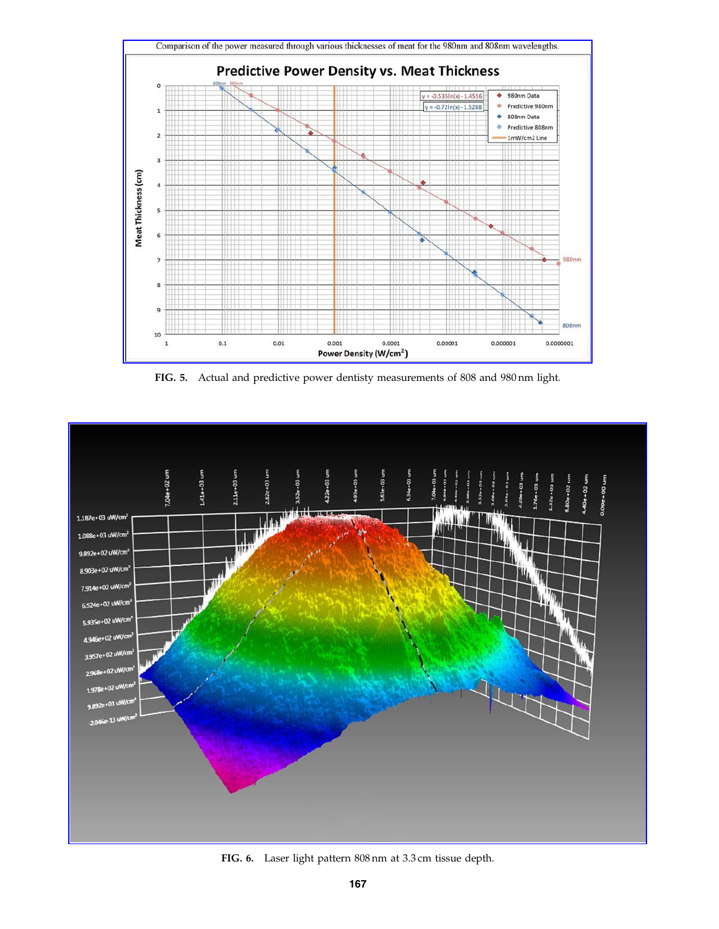

FIG. 5. Actual and predictive power dentisty measurements of 808 and 980 nm light.



FIG. 6. Laser light pattern 808 nm at 3.3 cm tissue depth.